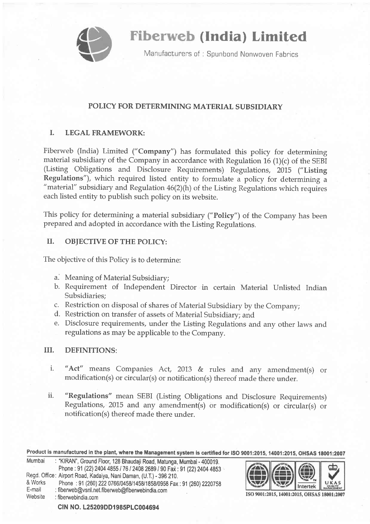

Fiberweb (India) Limited

Manufacturers of: Spunbond Nonwoven Fabrics

## POLICY FOR DETERMINING MATERIAL SUBSIDIARY

## I. LEGAL FRAMEWORK:

Fiberweb (India) Limited ("Company") has formulated this policy for determining material subsidiary of the Company in accordance with Regulation  $16$  (1)(c) of the SEBI (Listing Obligations and Disclosure Requirements) Regulations, 2015 ("Listing Regulations"), which required listed entity to formulate a policy for determining <sup>a</sup> "material" subsidiary and Regulation 46(2)(h) of the Listing Regulations which requires each listed entity to publish such policy on its website.

This policy for determining a material subsidiary ("Policy") of the Company has been prepared and adopted in accordance with the Listing Regulations.

## II. OBJECTIVE OF THE POLICY:

The objective of this Policy is to determine:

- a. Meaning of Material Subsidiary;
- b. Requirement of Independent Director in certain Material Unlisted Indian Subsidiaries;
- c. Restriction on disposal of shares of Material subsidiary by the Company;
- d. Restriction on transfer of assets of Material Subsidiary; and
- e. Disclosure requirements, under the Listing Regulations and any other laws and regulations as may be applicable to the Company.

## III. DEFINITIONS:

- i. " Act" means Companies Act, 2013 & rules and any amendment(s) or modification(s) or circular(s) or notification(s) thereof made there under.
- ii. "Regulations" mean SEBI (Listing Obligations and Disclosure Requirements) Regulations, 2015 and any amendment(s) or modification(s) or circular(s) or notification(s) thereof made there under.

Product is manufactured in the plant, where the Management system is certified for ISO 9001:2015, 14001:2015, OHSAS 18001:2007

| Mumbai  | : "KIRAN", Ground Floor, 128 Bhaudaji Road, Matunga, Mumbai - 400019. |
|---------|-----------------------------------------------------------------------|
|         | Phone: 91 (22) 2404 4855 / 76 / 2408 2689 / 90 Fax: 91 (22) 2404 4853 |
|         | Regd. Office: Airport Road, Kadaiya, Nani Daman, (U.T.) - 396 210.    |
| & Works | Phone: 91 (260) 222 0766/0458/1458/1858/0958 Fax: 91 (260) 2220758    |
| E-mail  | : fiberweb@vsnl.net.fiberweb@fiberwebindia.com                        |
| Website | : fiberwebindia.com                                                   |
|         |                                                                       |



ISO 9001:2015, 14001:2015, OHSAS 18001:2007

CIN NO. L25209DD1985PLC004694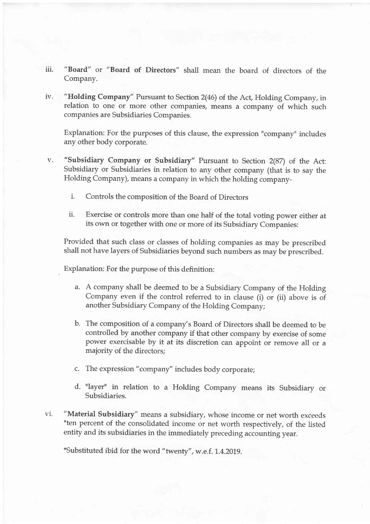- iii. "Board" or "Board of Directors" shall mean the board of directors of the Company.
- lv. "Holding Company" Pursuant to Section 2(46) of the Act, Holding Company, in relation to one or more other companies, means a company of which such companies are Subsidiaries Companies.

Explanation: For the purposes of this clause, the expression "company" includes any other body corporate.

- "subsidiary Company or subsidiary" Pursuant to section 2(87) of the Act: Subsidiary or Subsidiaries in relation to any other company (that is to say the Holding Company), means a company in which the holding companyv.
	- i. Controls the composition of the Board of Directors
	- ii. Exercise or controls more than one half of the total voting power either at its own or together with one or more of its Subsidiary Companies:

Provided that such class or classes of holding companies as may be prescribed shall not have layers of Subsidiaries beyond such numbers as may be prescribed.

Explanation: For the purpose of this definition:

- a. A company shall be deemed to be a subsidiary Company of the Holding Company even if the control referred to in clause (i) or (ii) above is of another Subsidiary Company of the Holding Company;
- b. The composition of a company's Board of Directors shall be deemed to be controlled by another company if that other company by exercise of some power exercisable by it at its discretion can appoint or remove all or <sup>a</sup> majority of the directors;
- c. The expression "company" includes body corporate;
- d. "layer" in relation to a Holding Company means its subsidiary or Subsidiaries.
- "Material Subsidiary" means a subsidiary, whose income or net worth exceeds \*ten percent of the consolidated income or net worth respectively, of the listed entity and its subsidiaries in the immediately preceding accounting year. vl.

\*Substituted ibid for the word "twenty", w.e.f. 1.4.2019.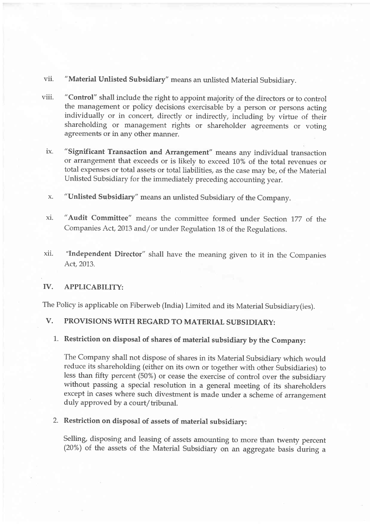- vii. "Material Unlisted Subsidiary" means an unlisted Material Subsidiary.
- viii. "Control" shall include the right to appoint majority of the directors or to control the management or policy decisions exercisable by a person or persons acting individually or in concert, directly or indirectly, including by virtue of their shareholding or management rights or shareholder agreements or voting agreements or in any other manner.
- ix. "Significant Transaction and Arrangement" means any individual transaction or arrangement that exceeds or is likely to exceed 10% of the total revenues or total expenses or total assets or total liabilities, as the case may be, of the Material Unlisted Subsidiary for the immediately preceding accounfing year.
- x. "Unlisted Subsidiary" means an unlisted Subsidiary of the Company.
- xi. "Audit Committee" means the committee formed under Section 177 of the Companies Act, 2013 and/or under Regulation 18 of the Regulations.
- xl1. "Independent Director" shall have the meaning given to it in the Companies Act, 2013.

#### IV. APPLICABILITY:

The Policy is applicable on Fiberweb (India) Limited and its Material Subsidiary(ies).

# V. PROVISIONS WITH REGARD TO MATERIAL SUBSIDIARY:

1. Restriction on disposal of shares of material subsidiary by the Company:

The Company shall not dispose of shares in its Material Subsidiary which would reduce its shareholding (either on its own or together with other Subsidiaries) to less than fifty percent (50%) or cease the exercise of control over the subsidiary without passing a special resolution in a general meeting of its shareholders except in cases where such divestment is made under a scheme of arrangement duly approved by a court/tribunal.

### 2. Restriction on disposal of assets of material subsidiary:

Selling, disposing and leasing of assets amounting to more than twenty percent (20%) of the assets of the Material Subsidiary on an aggregate basis during a